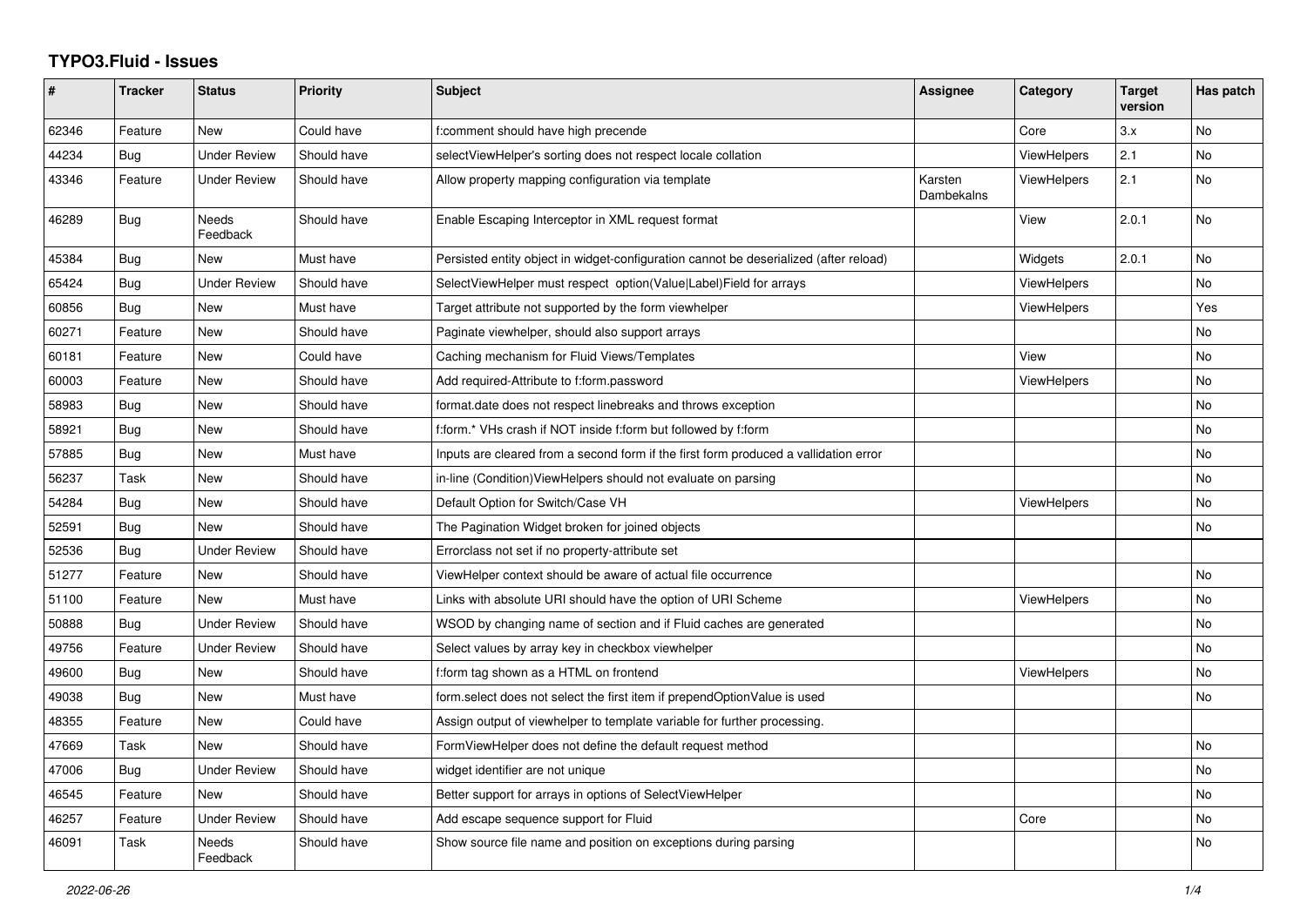## **TYPO3.Fluid - Issues**

| #     | <b>Tracker</b> | <b>Status</b>       | <b>Priority</b> | Subject                                                                               | <b>Assignee</b>       | Category           | <b>Target</b><br>version | Has patch |
|-------|----------------|---------------------|-----------------|---------------------------------------------------------------------------------------|-----------------------|--------------------|--------------------------|-----------|
| 62346 | Feature        | New                 | Could have      | f:comment should have high precende                                                   |                       | Core               | 3.x                      | No        |
| 44234 | Bug            | <b>Under Review</b> | Should have     | selectViewHelper's sorting does not respect locale collation                          |                       | ViewHelpers        | 2.1                      | No        |
| 43346 | Feature        | <b>Under Review</b> | Should have     | Allow property mapping configuration via template                                     | Karsten<br>Dambekalns | <b>ViewHelpers</b> | 2.1                      | No        |
| 46289 | Bug            | Needs<br>Feedback   | Should have     | Enable Escaping Interceptor in XML request format                                     |                       | View               | 2.0.1                    | No        |
| 45384 | Bug            | <b>New</b>          | Must have       | Persisted entity object in widget-configuration cannot be deserialized (after reload) |                       | Widgets            | 2.0.1                    | No        |
| 65424 | Bug            | <b>Under Review</b> | Should have     | SelectViewHelper must respect option(Value Label)Field for arrays                     |                       | <b>ViewHelpers</b> |                          | No        |
| 60856 | <b>Bug</b>     | <b>New</b>          | Must have       | Target attribute not supported by the form viewhelper                                 |                       | <b>ViewHelpers</b> |                          | Yes       |
| 60271 | Feature        | <b>New</b>          | Should have     | Paginate viewhelper, should also support arrays                                       |                       |                    |                          | No        |
| 60181 | Feature        | New                 | Could have      | Caching mechanism for Fluid Views/Templates                                           |                       | View               |                          | No        |
| 60003 | Feature        | <b>New</b>          | Should have     | Add required-Attribute to f:form.password                                             |                       | <b>ViewHelpers</b> |                          | No        |
| 58983 | Bug            | <b>New</b>          | Should have     | format.date does not respect linebreaks and throws exception                          |                       |                    |                          | No        |
| 58921 | Bug            | <b>New</b>          | Should have     | f:form.* VHs crash if NOT inside f:form but followed by f:form                        |                       |                    |                          | No        |
| 57885 | <b>Bug</b>     | New                 | Must have       | Inputs are cleared from a second form if the first form produced a vallidation error  |                       |                    |                          | No        |
| 56237 | Task           | <b>New</b>          | Should have     | in-line (Condition) ViewHelpers should not evaluate on parsing                        |                       |                    |                          | No        |
| 54284 | Bug            | <b>New</b>          | Should have     | Default Option for Switch/Case VH                                                     |                       | <b>ViewHelpers</b> |                          | No        |
| 52591 | Bug            | <b>New</b>          | Should have     | The Pagination Widget broken for joined objects                                       |                       |                    |                          | <b>No</b> |
| 52536 | Bug            | <b>Under Review</b> | Should have     | Errorclass not set if no property-attribute set                                       |                       |                    |                          |           |
| 51277 | Feature        | New                 | Should have     | ViewHelper context should be aware of actual file occurrence                          |                       |                    |                          | No        |
| 51100 | Feature        | <b>New</b>          | Must have       | Links with absolute URI should have the option of URI Scheme                          |                       | <b>ViewHelpers</b> |                          | No        |
| 50888 | Bug            | <b>Under Review</b> | Should have     | WSOD by changing name of section and if Fluid caches are generated                    |                       |                    |                          | No        |
| 49756 | Feature        | <b>Under Review</b> | Should have     | Select values by array key in checkbox viewhelper                                     |                       |                    |                          | No        |
| 49600 | Bug            | New                 | Should have     | f:form tag shown as a HTML on frontend                                                |                       | ViewHelpers        |                          | No        |
| 49038 | <b>Bug</b>     | New                 | Must have       | form select does not select the first item if prependOptionValue is used              |                       |                    |                          | No.       |
| 48355 | Feature        | <b>New</b>          | Could have      | Assign output of viewhelper to template variable for further processing.              |                       |                    |                          |           |
| 47669 | Task           | <b>New</b>          | Should have     | FormViewHelper does not define the default request method                             |                       |                    |                          | No.       |
| 47006 | Bug            | <b>Under Review</b> | Should have     | widget identifier are not unique                                                      |                       |                    |                          | No        |
| 46545 | Feature        | <b>New</b>          | Should have     | Better support for arrays in options of SelectViewHelper                              |                       |                    |                          | No        |
| 46257 | Feature        | Under Review        | Should have     | Add escape sequence support for Fluid                                                 |                       | Core               |                          | No        |
| 46091 | Task           | Needs<br>Feedback   | Should have     | Show source file name and position on exceptions during parsing                       |                       |                    |                          | No.       |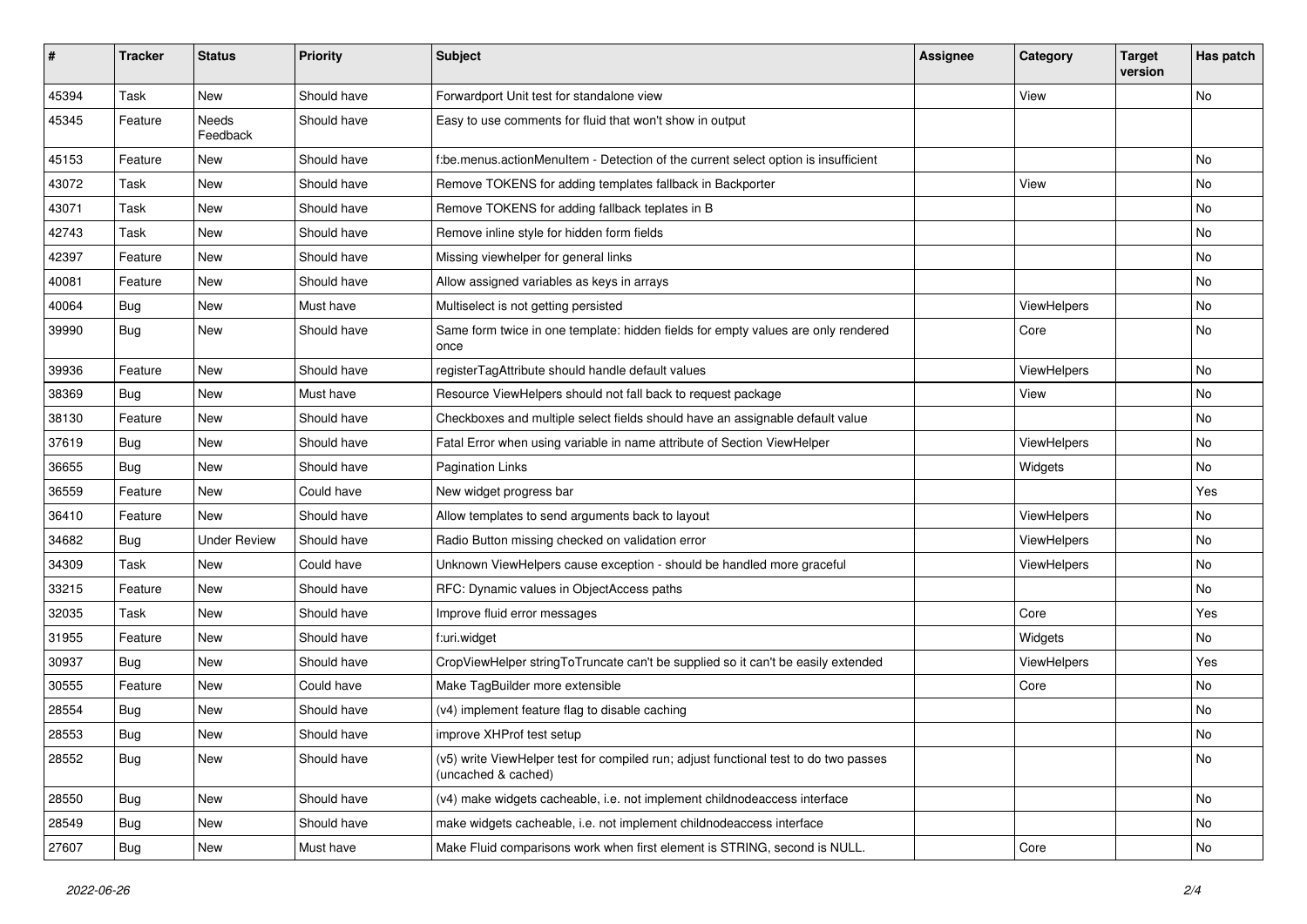| #     | <b>Tracker</b> | <b>Status</b>            | <b>Priority</b> | Subject                                                                                                     | <b>Assignee</b> | Category           | <b>Target</b><br>version | Has patch |
|-------|----------------|--------------------------|-----------------|-------------------------------------------------------------------------------------------------------------|-----------------|--------------------|--------------------------|-----------|
| 45394 | Task           | New                      | Should have     | Forwardport Unit test for standalone view                                                                   |                 | View               |                          | No        |
| 45345 | Feature        | <b>Needs</b><br>Feedback | Should have     | Easy to use comments for fluid that won't show in output                                                    |                 |                    |                          |           |
| 45153 | Feature        | New                      | Should have     | f:be.menus.actionMenuItem - Detection of the current select option is insufficient                          |                 |                    |                          | No        |
| 43072 | Task           | New                      | Should have     | Remove TOKENS for adding templates fallback in Backporter                                                   |                 | View               |                          | No        |
| 43071 | Task           | New                      | Should have     | Remove TOKENS for adding fallback teplates in B                                                             |                 |                    |                          | No.       |
| 42743 | Task           | New                      | Should have     | Remove inline style for hidden form fields                                                                  |                 |                    |                          | No        |
| 42397 | Feature        | New                      | Should have     | Missing viewhelper for general links                                                                        |                 |                    |                          | No        |
| 40081 | Feature        | New                      | Should have     | Allow assigned variables as keys in arrays                                                                  |                 |                    |                          | No        |
| 40064 | <b>Bug</b>     | New                      | Must have       | Multiselect is not getting persisted                                                                        |                 | ViewHelpers        |                          | No        |
| 39990 | <b>Bug</b>     | New                      | Should have     | Same form twice in one template: hidden fields for empty values are only rendered<br>once                   |                 | Core               |                          | No        |
| 39936 | Feature        | New                      | Should have     | registerTagAttribute should handle default values                                                           |                 | ViewHelpers        |                          | No        |
| 38369 | <b>Bug</b>     | <b>New</b>               | Must have       | Resource ViewHelpers should not fall back to request package                                                |                 | View               |                          | No        |
| 38130 | Feature        | New                      | Should have     | Checkboxes and multiple select fields should have an assignable default value                               |                 |                    |                          | No        |
| 37619 | <b>Bug</b>     | New                      | Should have     | Fatal Error when using variable in name attribute of Section ViewHelper                                     |                 | ViewHelpers        |                          | No        |
| 36655 | Bug            | New                      | Should have     | <b>Pagination Links</b>                                                                                     |                 | Widgets            |                          | No        |
| 36559 | Feature        | New                      | Could have      | New widget progress bar                                                                                     |                 |                    |                          | Yes       |
| 36410 | Feature        | New                      | Should have     | Allow templates to send arguments back to layout                                                            |                 | ViewHelpers        |                          | No        |
| 34682 | <b>Bug</b>     | <b>Under Review</b>      | Should have     | Radio Button missing checked on validation error                                                            |                 | ViewHelpers        |                          | No        |
| 34309 | Task           | New                      | Could have      | Unknown ViewHelpers cause exception - should be handled more graceful                                       |                 | ViewHelpers        |                          | No.       |
| 33215 | Feature        | New                      | Should have     | RFC: Dynamic values in ObjectAccess paths                                                                   |                 |                    |                          | No        |
| 32035 | Task           | New                      | Should have     | Improve fluid error messages                                                                                |                 | Core               |                          | Yes       |
| 31955 | Feature        | New                      | Should have     | f:uri.widget                                                                                                |                 | Widgets            |                          | No        |
| 30937 | <b>Bug</b>     | New                      | Should have     | CropViewHelper stringToTruncate can't be supplied so it can't be easily extended                            |                 | <b>ViewHelpers</b> |                          | Yes       |
| 30555 | Feature        | New                      | Could have      | Make TagBuilder more extensible                                                                             |                 | Core               |                          | No        |
| 28554 | Bug            | New                      | Should have     | (v4) implement feature flag to disable caching                                                              |                 |                    |                          | No        |
| 28553 | Bug            | New                      | Should have     | improve XHProf test setup                                                                                   |                 |                    |                          | No        |
| 28552 | <b>Bug</b>     | New                      | Should have     | (v5) write ViewHelper test for compiled run; adjust functional test to do two passes<br>(uncached & cached) |                 |                    |                          | No        |
| 28550 | Bug            | New                      | Should have     | (v4) make widgets cacheable, i.e. not implement childnodeaccess interface                                   |                 |                    |                          | No        |
| 28549 | Bug            | New                      | Should have     | make widgets cacheable, i.e. not implement childnodeaccess interface                                        |                 |                    |                          | No        |
| 27607 | <b>Bug</b>     | New                      | Must have       | Make Fluid comparisons work when first element is STRING, second is NULL.                                   |                 | Core               |                          | No        |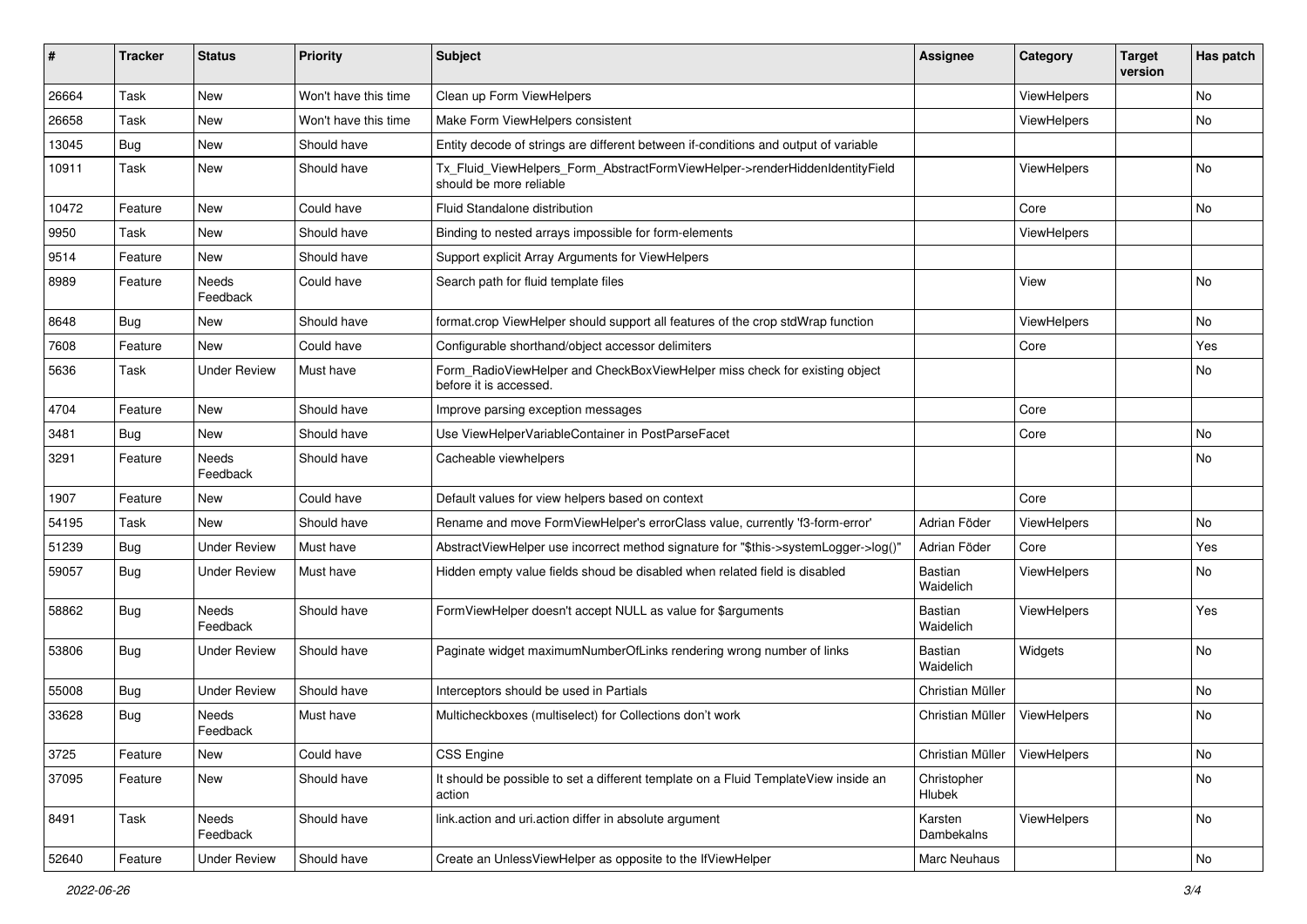| #     | <b>Tracker</b> | <b>Status</b>            | <b>Priority</b>      | Subject                                                                                                | <b>Assignee</b>             | Category           | <b>Target</b><br>version | Has patch |
|-------|----------------|--------------------------|----------------------|--------------------------------------------------------------------------------------------------------|-----------------------------|--------------------|--------------------------|-----------|
| 26664 | Task           | New                      | Won't have this time | Clean up Form ViewHelpers                                                                              |                             | ViewHelpers        |                          | <b>No</b> |
| 26658 | Task           | New                      | Won't have this time | Make Form ViewHelpers consistent                                                                       |                             | ViewHelpers        |                          | No        |
| 13045 | Bug            | New                      | Should have          | Entity decode of strings are different between if-conditions and output of variable                    |                             |                    |                          |           |
| 10911 | Task           | New                      | Should have          | Tx_Fluid_ViewHelpers_Form_AbstractFormViewHelper->renderHiddenIdentityField<br>should be more reliable |                             | ViewHelpers        |                          | No        |
| 10472 | Feature        | New                      | Could have           | Fluid Standalone distribution                                                                          |                             | Core               |                          | No        |
| 9950  | Task           | New                      | Should have          | Binding to nested arrays impossible for form-elements                                                  |                             | ViewHelpers        |                          |           |
| 9514  | Feature        | <b>New</b>               | Should have          | Support explicit Array Arguments for ViewHelpers                                                       |                             |                    |                          |           |
| 8989  | Feature        | Needs<br>Feedback        | Could have           | Search path for fluid template files                                                                   |                             | View               |                          | No        |
| 8648  | Bug            | New                      | Should have          | format.crop ViewHelper should support all features of the crop stdWrap function                        |                             | ViewHelpers        |                          | No        |
| 7608  | Feature        | New                      | Could have           | Configurable shorthand/object accessor delimiters                                                      |                             | Core               |                          | Yes       |
| 5636  | Task           | <b>Under Review</b>      | Must have            | Form RadioViewHelper and CheckBoxViewHelper miss check for existing object<br>before it is accessed.   |                             |                    |                          | No        |
| 4704  | Feature        | New                      | Should have          | Improve parsing exception messages                                                                     |                             | Core               |                          |           |
| 3481  | Bug            | <b>New</b>               | Should have          | Use ViewHelperVariableContainer in PostParseFacet                                                      |                             | Core               |                          | No        |
| 3291  | Feature        | <b>Needs</b><br>Feedback | Should have          | Cacheable viewhelpers                                                                                  |                             |                    |                          | No        |
| 1907  | Feature        | New                      | Could have           | Default values for view helpers based on context                                                       |                             | Core               |                          |           |
| 54195 | Task           | New                      | Should have          | Rename and move FormViewHelper's errorClass value, currently 'f3-form-error'                           | Adrian Föder                | ViewHelpers        |                          | No        |
| 51239 | Bug            | <b>Under Review</b>      | Must have            | AbstractViewHelper use incorrect method signature for "\$this->systemLogger->log()"                    | Adrian Föder                | Core               |                          | Yes       |
| 59057 | Bug            | Under Review             | Must have            | Hidden empty value fields shoud be disabled when related field is disabled                             | <b>Bastian</b><br>Waidelich | <b>ViewHelpers</b> |                          | No        |
| 58862 | Bug            | Needs<br>Feedback        | Should have          | FormViewHelper doesn't accept NULL as value for \$arguments                                            | <b>Bastian</b><br>Waidelich | ViewHelpers        |                          | Yes       |
| 53806 | Bug            | Under Review             | Should have          | Paginate widget maximumNumberOfLinks rendering wrong number of links                                   | <b>Bastian</b><br>Waidelich | Widgets            |                          | No        |
| 55008 | Bug            | <b>Under Review</b>      | Should have          | Interceptors should be used in Partials                                                                | Christian Müller            |                    |                          | No        |
| 33628 | Bug            | Needs<br>Feedback        | Must have            | Multicheckboxes (multiselect) for Collections don't work                                               | Christian Müller            | <b>ViewHelpers</b> |                          | No        |
| 3725  | Feature        | New                      | Could have           | <b>CSS Engine</b>                                                                                      | Christian Müller            | ViewHelpers        |                          | No        |
| 37095 | Feature        | New                      | Should have          | It should be possible to set a different template on a Fluid TemplateView inside an<br>action          | Christopher<br>Hlubek       |                    |                          | No        |
| 8491  | Task           | Needs<br>Feedback        | Should have          | link.action and uri.action differ in absolute argument                                                 | Karsten<br>Dambekalns       | ViewHelpers        |                          | No        |
| 52640 | Feature        | <b>Under Review</b>      | Should have          | Create an UnlessViewHelper as opposite to the IfViewHelper                                             | Marc Neuhaus                |                    |                          | No        |